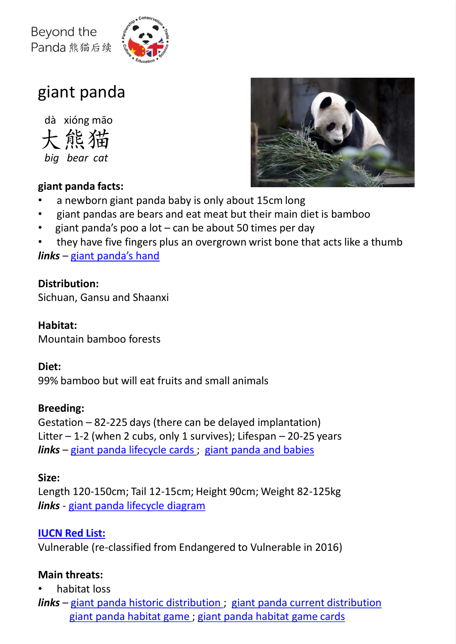

# giant panda

熊猫 dà xióng māo

*big bear cat*

#### **giant panda facts:**

- a newborn giant panda baby is only about 15cm long
- giant pandas are bears and eat meat but their main diet is bamboo
- giant panda's poo a lot can be about 50 times per day
- they have five fingers plus an overgrown wrist bone that acts like a thumb

*links* – [giant panda's hand](https://learning.rzss.org.uk/mod/hvp/view.php?id=3920)

#### **Distribution:**

Sichuan, Gansu and Shaanxi

# **Habitat:**

Mountain bamboo forests

#### **Diet:**

99% bamboo but will eat fruits and small animals

# **Breeding:**

Gestation – 82-225 days (there can be delayed implantation) Litter  $-1$ -2 (when 2 cubs, only 1 survives); Lifespan  $-20$ -25 years *links* – [giant panda lifecycle cards](https://learning.rzss.org.uk/pluginfile.php/2146/mod_resource/content/5/Panda%20lifecycle%20cards_FINAL.pdf) ; [giant panda and babies](https://learning.rzss.org.uk/mod/hvp/view.php?id=2208)

# **Size:**

Length 120-150cm; Tail 12-15cm; Height 90cm; Weight 82-125kg *links* - [giant panda lifecycle diagram](https://learning.rzss.org.uk/pluginfile.php/2875/mod_resource/content/2/Panda%20lifecycle%20diagram_FINAL.pdf)

# **[IUCN Red List:](https://www.iucnredlist.org/species/712/121745669)**

Vulnerable (re-classified from Endangered to Vulnerable in 2016)

# **Main threats:**

- habitat loss
- *links* [giant panda historic distribution](https://learning.rzss.org.uk/pluginfile.php/2157/mod_resource/content/4/historic%20habitat%20map%20-white.pdf) ; [giant panda current distribution](https://learning.rzss.org.uk/pluginfile.php/2155/mod_resource/content/2/current%20habitat%20%20map%20-white.pdf) [giant panda habitat game](https://learning.rzss.org.uk/pluginfile.php/2133/mod_resource/content/4/Habitat%20building%20gameboard_FINAL.pdf) ; [giant panda habitat game cards](https://learning.rzss.org.uk/pluginfile.php/2134/mod_resource/content/3/Habitat%20building%20game%20cards_FINAL.pdf)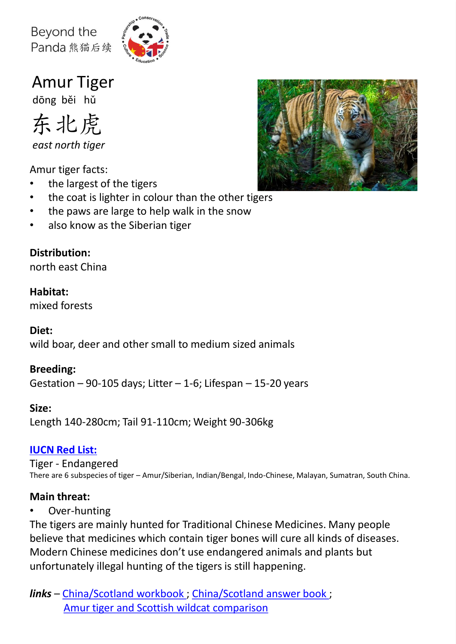

Amur Tiger

dōng běi hǔ



*east north tiger*

Amur tiger facts:

- the largest of the tigers
- the coat is lighter in colour than the other tigers
- the paws are large to help walk in the snow
- also know as the Siberian tiger

# **Distribution:**

north east China

# **Habitat:**

mixed forests

# **Diet:**

wild boar, deer and other small to medium sized animals

# **Breeding:**

Gestation  $-90-105$  days; Litter  $-1-6$ ; Lifespan  $-15-20$  years

# **Size:**

Length 140-280cm; Tail 91-110cm; Weight 90-306kg

# **[IUCN Red List:](https://www.iucnredlist.org/species/15955/50659951)**

Tiger - Endangered There are 6 subspecies of tiger – Amur/Siberian, Indian/Bengal, Indo-Chinese, Malayan, Sumatran, South China.

# **Main threat:**

• Over-hunting

The tigers are mainly hunted for Traditional Chinese Medicines. Many people believe that medicines which contain tiger bones will cure all kinds of diseases. Modern Chinese medicines don't use endangered animals and plants but unfortunately illegal hunting of the tigers is still happening.

*links* – [China/Scotland workbook ;](https://learning.rzss.org.uk/pluginfile.php/2108/mod_resource/content/2/China Scotland Book_FINAL.pdf) [China/Scotland answer book](https://learning.rzss.org.uk/pluginfile.php/2114/mod_resource/content/2/ANSWERS -China Scotland Pack_FINAL.pdf) ; [Amur tiger and Scottish wildcat comparison](https://learning.rzss.org.uk/mod/hvp/view.php?id=2651)

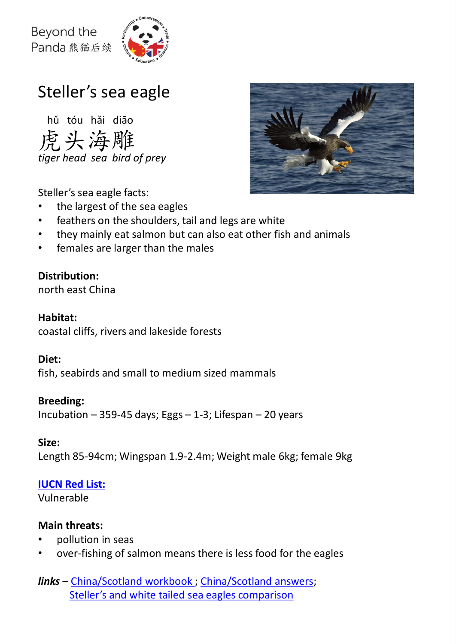

# Steller's sea eagle

虎头海雕 hǔ tóu hǎi diāo *tiger head sea bird of prey*



Steller's sea eagle facts:

- the largest of the sea eagles
- feathers on the shoulders, tail and legs are white
- they mainly eat salmon but can also eat other fish and animals
- females are larger than the males

# **Distribution:**

north east China

#### **Habitat:**

coastal cliffs, rivers and lakeside forests

#### **Diet:**

fish, seabirds and small to medium sized mammals

#### **Breeding:**

Incubation – 359-45 days; Eggs – 1-3; Lifespan – 20 years

#### **Size:**

Length 85-94cm; Wingspan 1.9-2.4m; Weight male 6kg; female 9kg

#### **[IUCN Red List:](https://www.iucnredlist.org/species/22695147/204871862)**

Vulnerable

#### **Main threats:**

- pollution in seas
- over-fishing of salmon means there is less food for the eagles

*links* – [China/Scotland workbook ;](https://learning.rzss.org.uk/pluginfile.php/2108/mod_resource/content/2/China%20Scotland%20Book_FINAL.pdf) [China/Scotland answers;](https://learning.rzss.org.uk/pluginfile.php/2114/mod_resource/content/2/ANSWERS -China Scotland Pack_FINAL.pdf) [Steller's and white tailed sea eagles comparison](https://learning.rzss.org.uk/mod/hvp/view.php?id=2652)